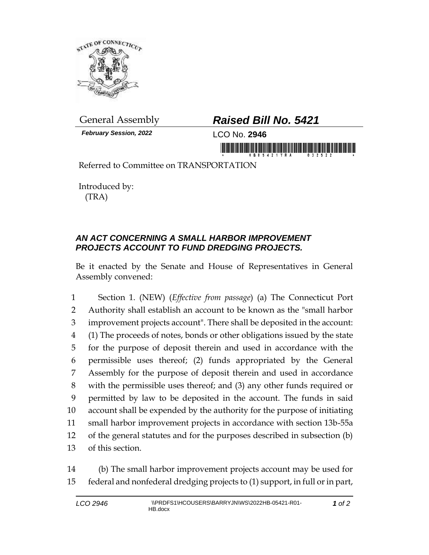

*February Session, 2022* LCO No. **2946**

## General Assembly *Raised Bill No. 5421*

in morning is a state of the company of the community

Referred to Committee on TRANSPORTATION

Introduced by: (TRA)

## *AN ACT CONCERNING A SMALL HARBOR IMPROVEMENT PROJECTS ACCOUNT TO FUND DREDGING PROJECTS.*

Be it enacted by the Senate and House of Representatives in General Assembly convened:

 Section 1. (NEW) (*Effective from passage*) (a) The Connecticut Port Authority shall establish an account to be known as the "small harbor improvement projects account". There shall be deposited in the account: (1) The proceeds of notes, bonds or other obligations issued by the state for the purpose of deposit therein and used in accordance with the permissible uses thereof; (2) funds appropriated by the General Assembly for the purpose of deposit therein and used in accordance with the permissible uses thereof; and (3) any other funds required or permitted by law to be deposited in the account. The funds in said account shall be expended by the authority for the purpose of initiating small harbor improvement projects in accordance with section 13b-55a of the general statutes and for the purposes described in subsection (b) of this section.

14 (b) The small harbor improvement projects account may be used for 15 federal and nonfederal dredging projects to (1) support, in full or in part,